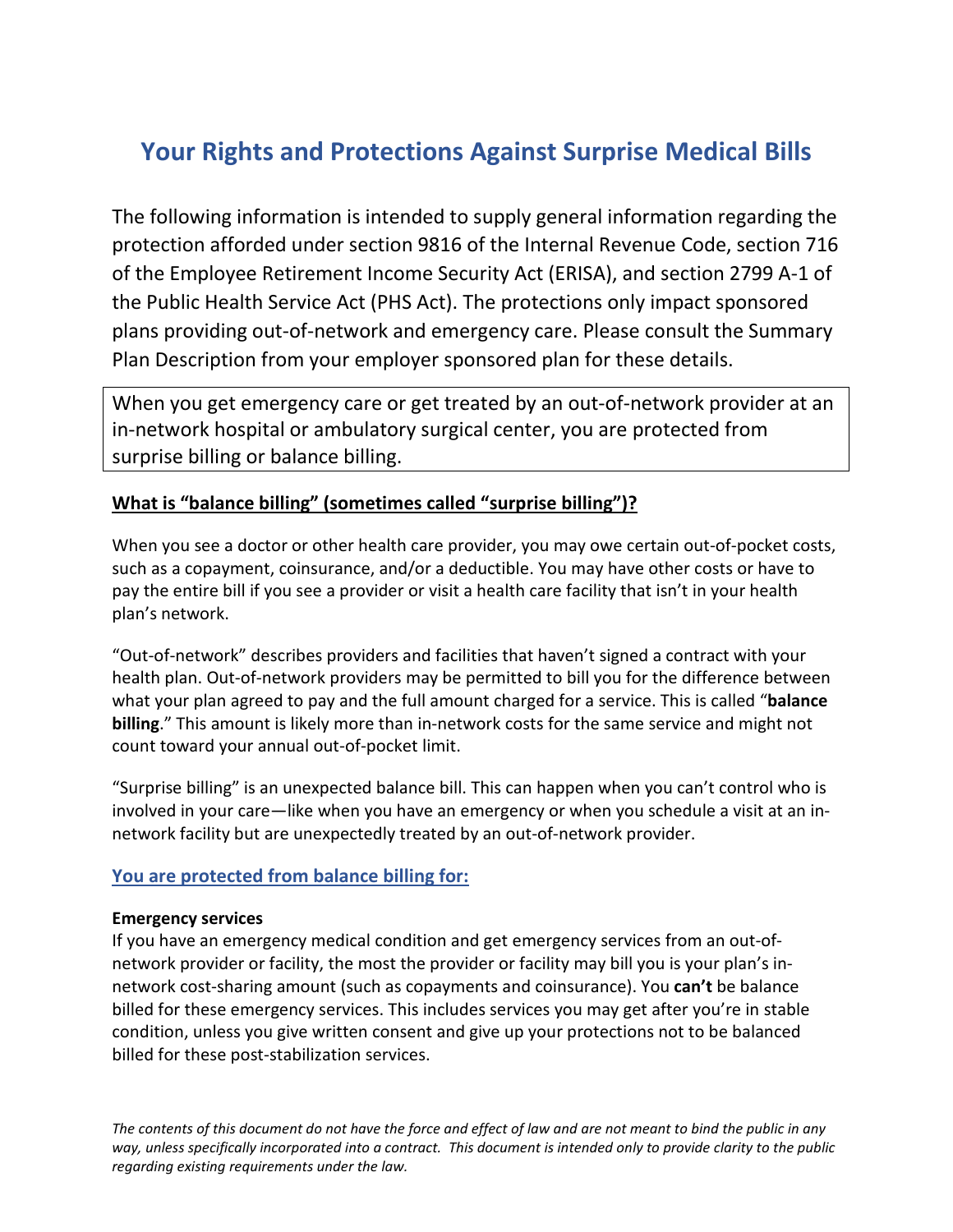# **Your Rights and Protections Against Surprise Medical Bills**

The following information is intended to supply general information regarding the protection afforded under section 9816 of the Internal Revenue Code, section 716 of the Employee Retirement Income Security Act (ERISA), and section 2799 A-1 of the Public Health Service Act (PHS Act). The protections only impact sponsored plans providing out-of-network and emergency care. Please consult the Summary Plan Description from your employer sponsored plan for these details.

When you get emergency care or get treated by an out-of-network provider at an in-network hospital or ambulatory surgical center, you are protected from surprise billing or balance billing.

# **What is "balance billing" (sometimes called "surprise billing")?**

When you see a doctor or other health care provider, you may owe certain out-of-pocket costs, such as a copayment, coinsurance, and/or a deductible. You may have other costs or have to pay the entire bill if you see a provider or visit a health care facility that isn't in your health plan's network.

"Out-of-network" describes providers and facilities that haven't signed a contract with your health plan. Out-of-network providers may be permitted to bill you for the difference between what your plan agreed to pay and the full amount charged for a service. This is called "**balance billing**." This amount is likely more than in-network costs for the same service and might not count toward your annual out-of-pocket limit.

"Surprise billing" is an unexpected balance bill. This can happen when you can't control who is involved in your care—like when you have an emergency or when you schedule a visit at an innetwork facility but are unexpectedly treated by an out-of-network provider.

## **You are protected from balance billing for:**

#### **Emergency services**

If you have an emergency medical condition and get emergency services from an out-ofnetwork provider or facility, the most the provider or facility may bill you is your plan's innetwork cost-sharing amount (such as copayments and coinsurance). You **can't** be balance billed for these emergency services. This includes services you may get after you're in stable condition, unless you give written consent and give up your protections not to be balanced billed for these post-stabilization services.

*The contents of this document do not have the force and effect of law and are not meant to bind the public in any way, unless specifically incorporated into a contract. This document is intended only to provide clarity to the public regarding existing requirements under the law.*